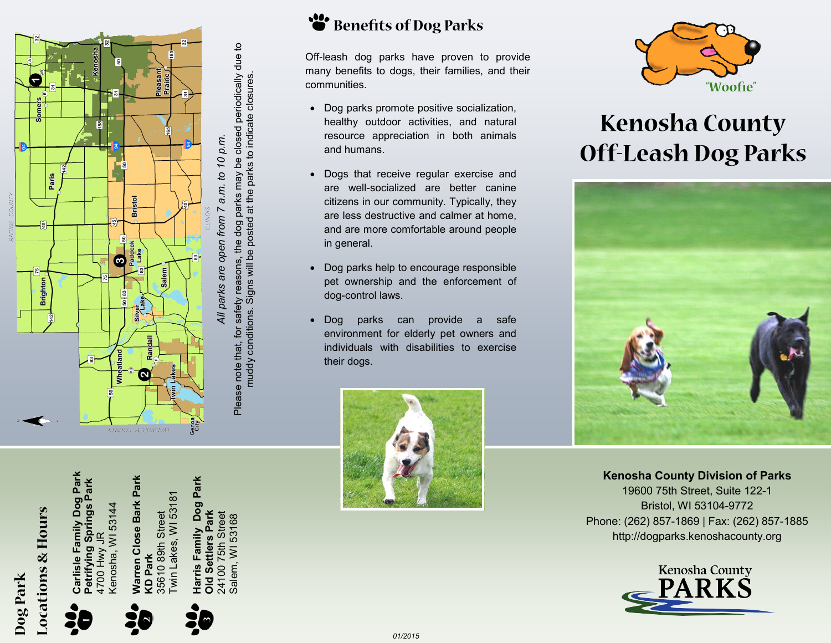

### Benefits of Dog Parks

Off-leash dog parks have proven to provide many benefits to dogs, their families, and their communities.

- Dog parks promote positive socialization, healthy outdoor activities, and natural resource appreciation in both animals and humans.
- Dogs that receive regular exercise and are well -socialized are better canine citizens in our community. Typically, they are less destructive and calmer at home, and are more comfortable around people in general.
- Dog parks help to encourage responsible pet ownership and the enforcement of dog -control laws.
- Dog parks can provide a safe environment for elderly pet owners and individuals with disabilities to exercise their dogs.





## **Kenosha County Off-Leash Dog Parks**



**Kenosha County Division of Parks** 19600 75th Street, Suite 122 -1 Bristol, WI 53104 -9772 Phone: (262) 857 -1869 | Fax: (262) 857 -1885 http://dogparks.kenoshacounty.org



# **Locations & Hours** Dog Park





**Warren Close Bark Park** 

**Narren Close Bark Park** 

**KD Park**<br>35610 89th Street<br>Twin Lakes, WI 53181 35610 89th Street Twin Lakes, WI 53181

**Harris Family Dog Park**  Park **Harris Family Dog** 24100 75th Street Park **Old Settlers Park** Street Salem, WI 53168 24100 75th Stree<br>Salem, WI 53168 **Old Settlers** 

muddy conditions. Signs will be posted at the parks to indicate closures*.*